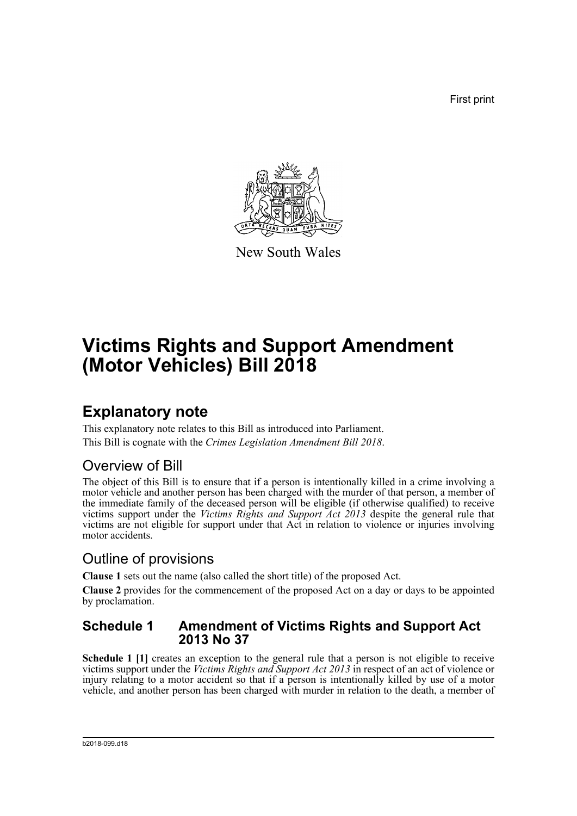First print



New South Wales

# **Victims Rights and Support Amendment (Motor Vehicles) Bill 2018**

## **Explanatory note**

This explanatory note relates to this Bill as introduced into Parliament. This Bill is cognate with the *Crimes Legislation Amendment Bill 2018*.

### Overview of Bill

The object of this Bill is to ensure that if a person is intentionally killed in a crime involving a motor vehicle and another person has been charged with the murder of that person, a member of the immediate family of the deceased person will be eligible (if otherwise qualified) to receive victims support under the *Victims Rights and Support Act 2013* despite the general rule that victims are not eligible for support under that Act in relation to violence or injuries involving motor accidents.

### Outline of provisions

**Clause 1** sets out the name (also called the short title) of the proposed Act.

**Clause 2** provides for the commencement of the proposed Act on a day or days to be appointed by proclamation.

#### **Schedule 1 Amendment of Victims Rights and Support Act 2013 No 37**

Schedule 1 [1] creates an exception to the general rule that a person is not eligible to receive victims support under the *Victims Rights and Support Act 2013* in respect of an act of violence or injury relating to a motor accident so that if a person is intentionally killed by use of a motor vehicle, and another person has been charged with murder in relation to the death, a member of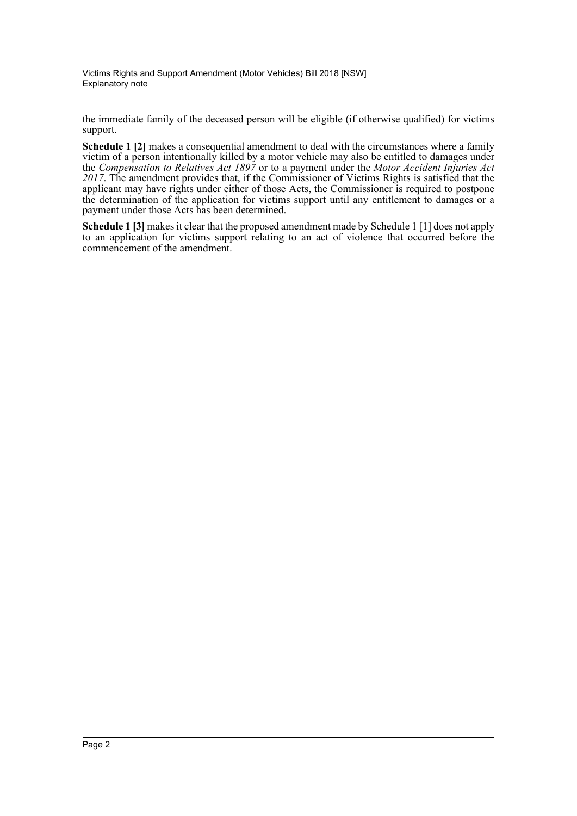the immediate family of the deceased person will be eligible (if otherwise qualified) for victims support.

**Schedule 1 [2]** makes a consequential amendment to deal with the circumstances where a family victim of a person intentionally killed by a motor vehicle may also be entitled to damages under the *Compensation to Relatives Act 1897* or to a payment under the *Motor Accident Injuries Act 2017*. The amendment provides that, if the Commissioner of Victims Rights is satisfied that the applicant may have rights under either of those Acts, the Commissioner is required to postpone the determination of the application for victims support until any entitlement to damages or a payment under those Acts has been determined.

**Schedule 1 [3]** makes it clear that the proposed amendment made by Schedule 1 [1] does not apply to an application for victims support relating to an act of violence that occurred before the commencement of the amendment.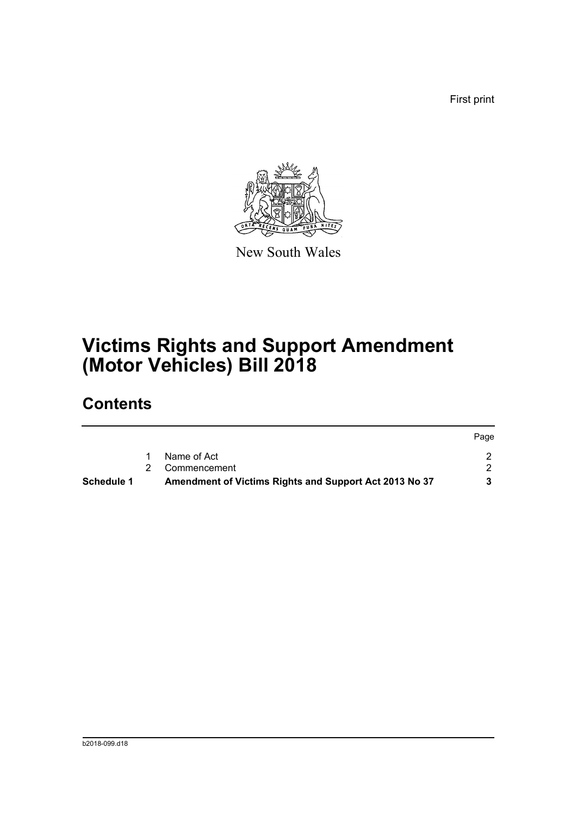First print

Page



New South Wales

# **Victims Rights and Support Amendment (Motor Vehicles) Bill 2018**

## **Contents**

| Schedule 1 | Amendment of Victims Rights and Support Act 2013 No 37 |       |
|------------|--------------------------------------------------------|-------|
|            | 2 Commencement                                         |       |
|            | Name of Act                                            |       |
|            |                                                        | Page. |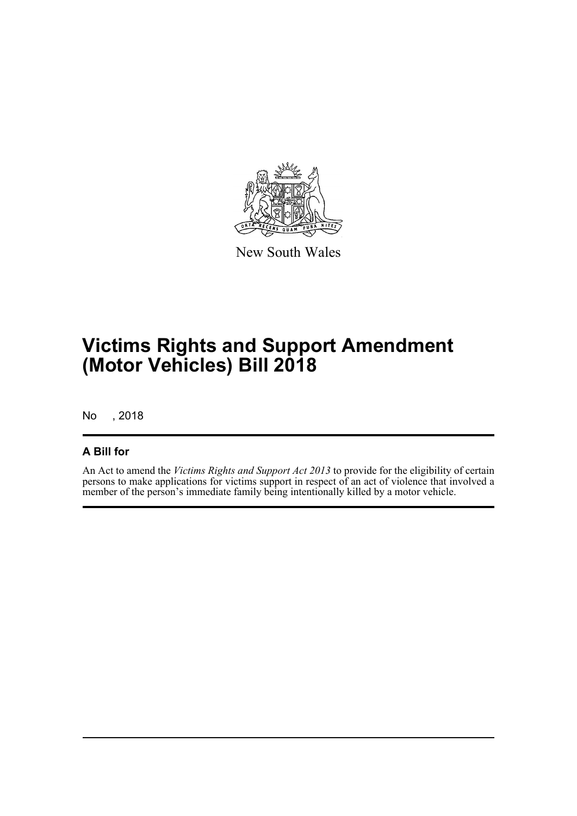

New South Wales

# **Victims Rights and Support Amendment (Motor Vehicles) Bill 2018**

No , 2018

#### **A Bill for**

An Act to amend the *Victims Rights and Support Act 2013* to provide for the eligibility of certain persons to make applications for victims support in respect of an act of violence that involved a member of the person's immediate family being intentionally killed by a motor vehicle.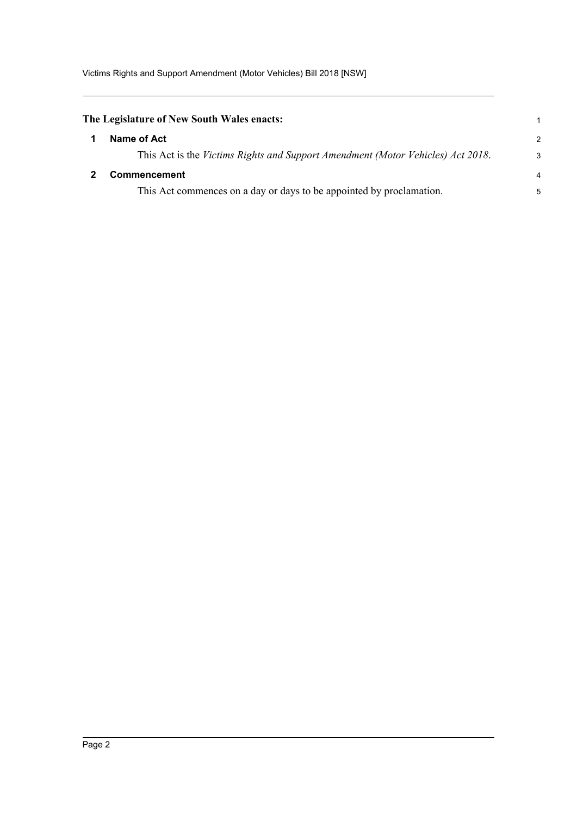<span id="page-4-1"></span><span id="page-4-0"></span>

| The Legislature of New South Wales enacts: |                                                                                 |   |
|--------------------------------------------|---------------------------------------------------------------------------------|---|
|                                            | Name of Act                                                                     | 2 |
|                                            | This Act is the Victims Rights and Support Amendment (Motor Vehicles) Act 2018. | Э |
|                                            | <b>Commencement</b>                                                             |   |
|                                            | This Act commences on a day or days to be appointed by proclamation.            |   |